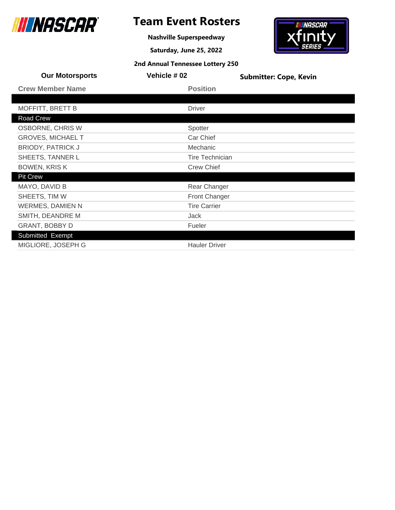

Road Crew

# **Team Event Rosters**

**Nashville Superspeedway**

**Saturday, June 25, 2022**

# *INASCAR* fınıt

|                         | 2nd Annual Tennessee Lottery 250 |                               |
|-------------------------|----------------------------------|-------------------------------|
| <b>Our Motorsports</b>  | Vehicle # 02                     | <b>Submitter: Cope, Kevin</b> |
| <b>Crew Member Name</b> | <b>Position</b>                  |                               |
|                         |                                  |                               |
| MOFFITT, BRETT B        | Driver                           |                               |
| Road Crew               |                                  |                               |

| <b>OSBORNE, CHRIS W</b>  | Spotter              |
|--------------------------|----------------------|
| <b>GROVES, MICHAEL T</b> | Car Chief            |
| <b>BRIODY, PATRICK J</b> | Mechanic             |
| SHEETS, TANNER L         | Tire Technician      |
| <b>BOWEN, KRISK</b>      | <b>Crew Chief</b>    |
| <b>Pit Crew</b>          |                      |
| MAYO, DAVID B            | Rear Changer         |
| SHEETS, TIM W            | <b>Front Changer</b> |
| <b>WERMES, DAMIEN N</b>  | <b>Tire Carrier</b>  |
| SMITH, DEANDRE M         | Jack                 |
| <b>GRANT, BOBBY D</b>    | Fueler               |
| Submitted Exempt         |                      |
| MIGLIORE, JOSEPH G       | <b>Hauler Driver</b> |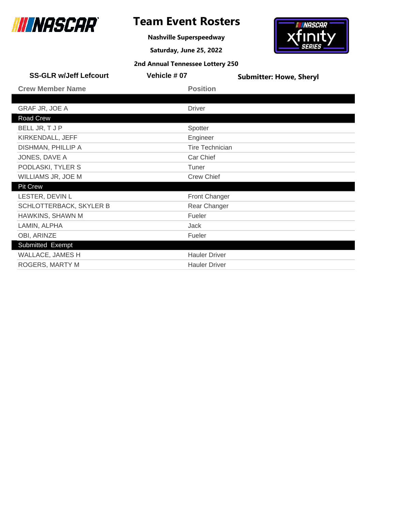

**Nashville Superspeedway**

**Saturday, June 25, 2022**



| <b>SS-GLR w/Jeff Lefcourt</b> | Vehicle #07            | <b>Submitter: Howe, Sheryl</b> |
|-------------------------------|------------------------|--------------------------------|
| <b>Crew Member Name</b>       | <b>Position</b>        |                                |
|                               |                        |                                |
| <b>GRAF JR, JOE A</b>         | <b>Driver</b>          |                                |
| Road Crew                     |                        |                                |
| BELL JR, T J P                | Spotter                |                                |
| KIRKENDALL, JEFF              | Engineer               |                                |
| DISHMAN, PHILLIP A            | <b>Tire Technician</b> |                                |
| JONES, DAVE A                 | Car Chief              |                                |
| PODLASKI, TYLER S             | Tuner                  |                                |
| WILLIAMS JR, JOE M            | <b>Crew Chief</b>      |                                |
| <b>Pit Crew</b>               |                        |                                |
| LESTER, DEVIN L               | Front Changer          |                                |
| SCHLOTTERBACK, SKYLER B       | Rear Changer           |                                |
| HAWKINS, SHAWN M              | Fueler                 |                                |
| LAMIN, ALPHA                  | Jack                   |                                |
| OBI, ARINZE                   | Fueler                 |                                |
| <b>Submitted Exempt</b>       |                        |                                |
| <b>WALLACE, JAMES H</b>       | <b>Hauler Driver</b>   |                                |
| ROGERS, MARTY M               | <b>Hauler Driver</b>   |                                |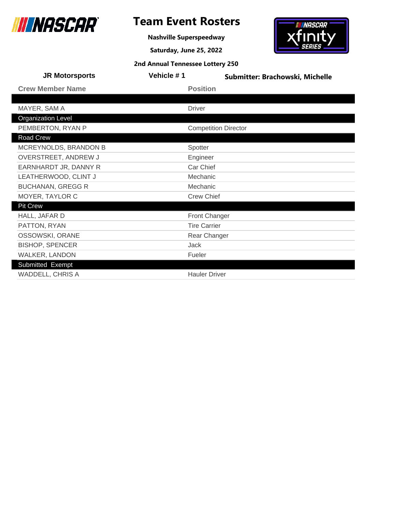

# **Team Event Rosters**

**Nashville Superspeedway**

**Saturday, June 25, 2022**

# **IN NASCAR xfinity**

| 2nd Annual Tennessee Lottery 250 |  |  |  |
|----------------------------------|--|--|--|
|----------------------------------|--|--|--|

| <b>JR Motorsports</b>     | Vehicle #1 | Submitter: Brachowski, Michelle |
|---------------------------|------------|---------------------------------|
| <b>Crew Member Name</b>   |            | <b>Position</b>                 |
|                           |            |                                 |
| MAYER, SAM A              |            | <b>Driver</b>                   |
| <b>Organization Level</b> |            |                                 |
| PEMBERTON, RYAN P         |            | <b>Competition Director</b>     |
| Road Crew                 |            |                                 |
| MCREYNOLDS, BRANDON B     |            | Spotter                         |
| OVERSTREET, ANDREW J      |            | Engineer                        |
| EARNHARDT JR, DANNY R     |            | Car Chief                       |
| LEATHERWOOD, CLINT J      |            | Mechanic                        |
| <b>BUCHANAN, GREGG R</b>  |            | Mechanic                        |
| MOYER, TAYLOR C           |            | <b>Crew Chief</b>               |
| <b>Pit Crew</b>           |            |                                 |
| HALL, JAFAR D             |            | <b>Front Changer</b>            |
| PATTON, RYAN              |            | <b>Tire Carrier</b>             |
| OSSOWSKI, ORANE           |            | Rear Changer                    |
| <b>BISHOP, SPENCER</b>    |            | <b>Jack</b>                     |
| WALKER, LANDON            |            | Fueler                          |
| Submitted Exempt          |            |                                 |
| <b>WADDELL, CHRIS A</b>   |            | <b>Hauler Driver</b>            |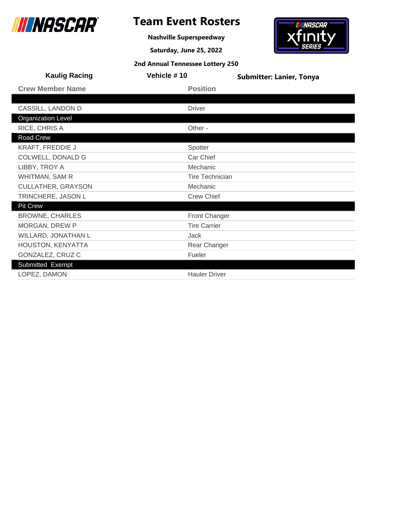

# **Team Event Rosters**

**Nashville Superspeedway**

**Saturday, June 25, 2022**



| <b>Kaulig Racing</b>      | Vehicle #10            | <b>Submitter: Lanier, Tonya</b> |
|---------------------------|------------------------|---------------------------------|
| <b>Crew Member Name</b>   | <b>Position</b>        |                                 |
|                           |                        |                                 |
| CASSILL, LANDON D         | <b>Driver</b>          |                                 |
| <b>Organization Level</b> |                        |                                 |
| RICE, CHRIS A             | Other -                |                                 |
| Road Crew                 |                        |                                 |
| <b>KRAFT, FREDDIE J</b>   | Spotter                |                                 |
| COLWELL, DONALD G         | Car Chief              |                                 |
| LIBBY, TROY A             | Mechanic               |                                 |
| WHITMAN, SAM R            | <b>Tire Technician</b> |                                 |
| <b>CULLATHER, GRAYSON</b> | Mechanic               |                                 |
| TRINCHERE, JASON L        | <b>Crew Chief</b>      |                                 |
| <b>Pit Crew</b>           |                        |                                 |
| <b>BROWNE, CHARLES</b>    | <b>Front Changer</b>   |                                 |
| MORGAN, DREW P            | <b>Tire Carrier</b>    |                                 |
| WILLARD, JONATHAN L       | Jack                   |                                 |
| HOUSTON, KENYATTA         | Rear Changer           |                                 |
| GONZALEZ, CRUZ C          | Fueler                 |                                 |
| Submitted Exempt          |                        |                                 |
| LOPEZ, DAMON              | <b>Hauler Driver</b>   |                                 |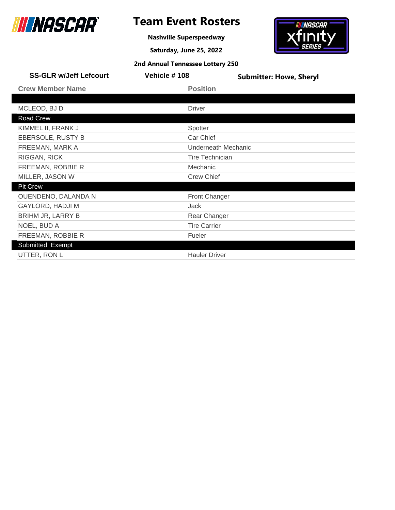

**Nashville Superspeedway**

**Saturday, June 25, 2022**



| <b>SS-GLR w/Jeff Lefcourt</b> | Vehicle #108           | <b>Submitter: Howe, Sheryl</b> |
|-------------------------------|------------------------|--------------------------------|
| <b>Crew Member Name</b>       | <b>Position</b>        |                                |
|                               |                        |                                |
| MCLEOD, BJ D                  | <b>Driver</b>          |                                |
| Road Crew                     |                        |                                |
| KIMMEL II, FRANK J            | Spotter                |                                |
| EBERSOLE, RUSTY B             | Car Chief              |                                |
| FREEMAN, MARK A               |                        | Underneath Mechanic            |
| <b>RIGGAN, RICK</b>           | <b>Tire Technician</b> |                                |
| FREEMAN, ROBBIE R             | Mechanic               |                                |
| MILLER, JASON W               | <b>Crew Chief</b>      |                                |
| <b>Pit Crew</b>               |                        |                                |
| OUENDENO, DALANDA N           | Front Changer          |                                |
| <b>GAYLORD, HADJI M</b>       | Jack                   |                                |
| <b>BRIHM JR, LARRY B</b>      | Rear Changer           |                                |
| NOEL, BUD A                   | <b>Tire Carrier</b>    |                                |
| FREEMAN, ROBBIE R             | Fueler                 |                                |
| Submitted Exempt              |                        |                                |
| UTTER, RON L                  | <b>Hauler Driver</b>   |                                |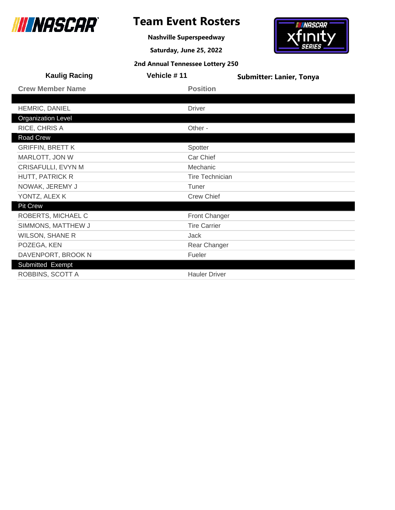

# **Team Event Rosters**

**Nashville Superspeedway**

**Saturday, June 25, 2022**

# **IN NASCAR**  ${\bf x}$ finity

| 2nd Annual Tennessee Lottery 250 |  |  |  |
|----------------------------------|--|--|--|
|----------------------------------|--|--|--|

| <b>Kaulig Racing</b>      | Vehicle #11       | <b>Submitter: Lanier, Tonya</b> |
|---------------------------|-------------------|---------------------------------|
| <b>Crew Member Name</b>   | <b>Position</b>   |                                 |
|                           |                   |                                 |
| HEMRIC, DANIEL            | <b>Driver</b>     |                                 |
| <b>Organization Level</b> |                   |                                 |
| RICE, CHRIS A             | Other -           |                                 |
| Road Crew                 |                   |                                 |
| <b>GRIFFIN, BRETT K</b>   | Spotter           |                                 |
| MARLOTT, JON W            | Car Chief         |                                 |
| CRISAFULLI, EVYN M        | Mechanic          |                                 |
| HUTT, PATRICK R           |                   | <b>Tire Technician</b>          |
| NOWAK, JEREMY J           | Tuner             |                                 |
| YONTZ, ALEX K             | <b>Crew Chief</b> |                                 |
| <b>Pit Crew</b>           |                   |                                 |
| ROBERTS, MICHAEL C        |                   | <b>Front Changer</b>            |
| SIMMONS, MATTHEW J        |                   | <b>Tire Carrier</b>             |
| <b>WILSON, SHANE R</b>    | Jack              |                                 |
| POZEGA, KEN               |                   | Rear Changer                    |
| DAVENPORT, BROOK N        | Fueler            |                                 |
| Submitted Exempt          |                   |                                 |
| ROBBINS, SCOTT A          |                   | <b>Hauler Driver</b>            |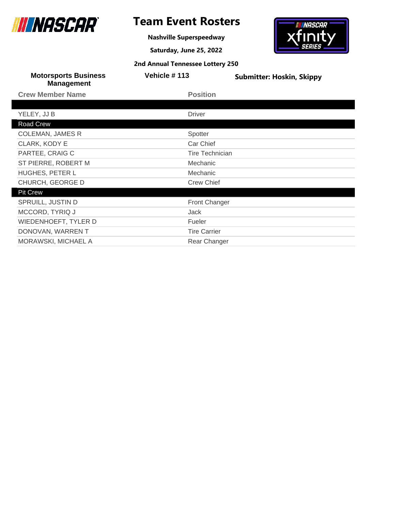

# **Team Event Rosters**

**Nashville Superspeedway**

**Saturday, June 25, 2022**

# *INASCAR*  $f_{\rm IIM}$ t

| <b>Motorsports Business</b><br><b>Management</b> | Vehicle #113           | <b>Submitter: Hoskin, Skippy</b> |
|--------------------------------------------------|------------------------|----------------------------------|
| <b>Crew Member Name</b>                          | <b>Position</b>        |                                  |
|                                                  |                        |                                  |
| YELEY, JJ B                                      | <b>Driver</b>          |                                  |
| Road Crew                                        |                        |                                  |
| <b>COLEMAN, JAMES R</b>                          | Spotter                |                                  |
| CLARK, KODY E                                    | Car Chief              |                                  |
| PARTEE, CRAIG C                                  | <b>Tire Technician</b> |                                  |
| ST PIERRE, ROBERT M                              | Mechanic               |                                  |
| HUGHES, PETER L                                  | Mechanic               |                                  |
| CHURCH, GEORGE D                                 | <b>Crew Chief</b>      |                                  |
| <b>Pit Crew</b>                                  |                        |                                  |
| SPRUILL, JUSTIN D                                | Front Changer          |                                  |
| MCCORD, TYRIQ J                                  | Jack                   |                                  |
| <b>WIEDENHOEFT, TYLER D</b>                      | Fueler                 |                                  |
| DONOVAN, WARREN T                                | <b>Tire Carrier</b>    |                                  |
| MORAWSKI, MICHAEL A                              | Rear Changer           |                                  |
|                                                  |                        |                                  |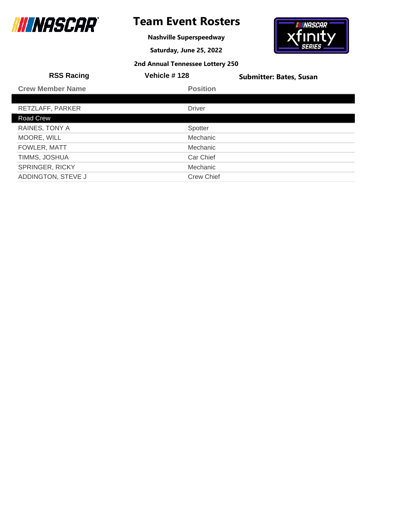

# **Team Event Rosters**

**Nashville Superspeedway**

**Saturday, June 25, 2022**



| <b>RSS Racing</b>       | Vehicle #128      | <b>Submitter: Bates, Susan</b> |
|-------------------------|-------------------|--------------------------------|
| <b>Crew Member Name</b> | <b>Position</b>   |                                |
|                         |                   |                                |
| RETZLAFF, PARKER        | <b>Driver</b>     |                                |
| Road Crew               |                   |                                |
| RAINES, TONY A          | Spotter           |                                |
| MOORE, WILL             | <b>Mechanic</b>   |                                |
| FOWLER, MATT            | <b>Mechanic</b>   |                                |
| TIMMS, JOSHUA           | Car Chief         |                                |
| <b>SPRINGER, RICKY</b>  | <b>Mechanic</b>   |                                |
| ADDINGTON, STEVE J      | <b>Crew Chief</b> |                                |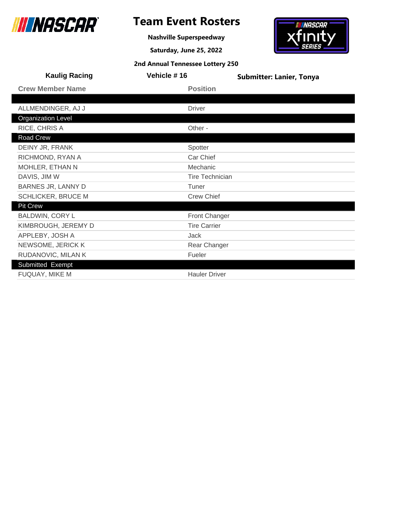

**Nashville Superspeedway**

**Saturday, June 25, 2022**



| <b>Kaulig Racing</b>      | Vehicle #16            | <b>Submitter: Lanier, Tonya</b> |
|---------------------------|------------------------|---------------------------------|
| <b>Crew Member Name</b>   | <b>Position</b>        |                                 |
|                           |                        |                                 |
| ALLMENDINGER, AJ J        | <b>Driver</b>          |                                 |
| <b>Organization Level</b> |                        |                                 |
| RICE, CHRIS A             | Other -                |                                 |
| Road Crew                 |                        |                                 |
| DEINY JR, FRANK           | Spotter                |                                 |
| RICHMOND, RYAN A          | Car Chief              |                                 |
| MOHLER, ETHAN N           | Mechanic               |                                 |
| DAVIS, JIM W              | <b>Tire Technician</b> |                                 |
| <b>BARNES JR, LANNY D</b> | Tuner                  |                                 |
| <b>SCHLICKER, BRUCE M</b> | <b>Crew Chief</b>      |                                 |
| <b>Pit Crew</b>           |                        |                                 |
| <b>BALDWIN, CORY L</b>    | <b>Front Changer</b>   |                                 |
| KIMBROUGH, JEREMY D       | <b>Tire Carrier</b>    |                                 |
| APPLEBY, JOSH A           | Jack                   |                                 |
| NEWSOME, JERICK K         | Rear Changer           |                                 |
| RUDANOVIC, MILAN K        | Fueler                 |                                 |
| Submitted Exempt          |                        |                                 |
| FUQUAY, MIKE M            | <b>Hauler Driver</b>   |                                 |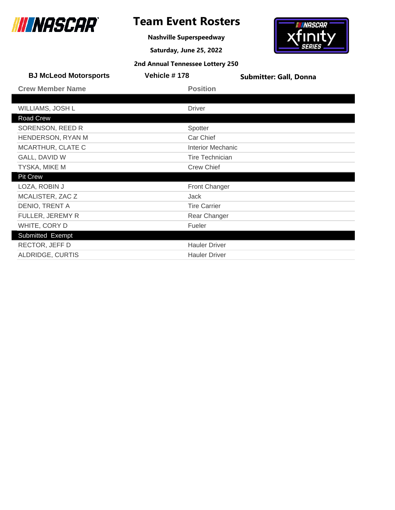

# **Team Event Rosters**

**Nashville Superspeedway**

**Saturday, June 25, 2022**



| <b>BJ McLeod Motorsports</b> | Vehicle #178           | <b>Submitter: Gall, Donna</b> |
|------------------------------|------------------------|-------------------------------|
| <b>Crew Member Name</b>      | <b>Position</b>        |                               |
|                              |                        |                               |
| WILLIAMS, JOSH L             | <b>Driver</b>          |                               |
| Road Crew                    |                        |                               |
| SORENSON, REED R             | Spotter                |                               |
| HENDERSON, RYAN M            | Car Chief              |                               |
| MCARTHUR, CLATE C            | Interior Mechanic      |                               |
| GALL, DAVID W                | <b>Tire Technician</b> |                               |
| TYSKA, MIKE M                | <b>Crew Chief</b>      |                               |
| <b>Pit Crew</b>              |                        |                               |
| LOZA, ROBIN J                | Front Changer          |                               |
| MCALISTER, ZAC Z             | Jack                   |                               |
| DENIO, TRENT A               | <b>Tire Carrier</b>    |                               |
| FULLER, JEREMY R             | Rear Changer           |                               |
| WHITE, CORY D                | Fueler                 |                               |
| Submitted Exempt             |                        |                               |
| RECTOR, JEFF D               | <b>Hauler Driver</b>   |                               |
| ALDRIDGE, CURTIS             | <b>Hauler Driver</b>   |                               |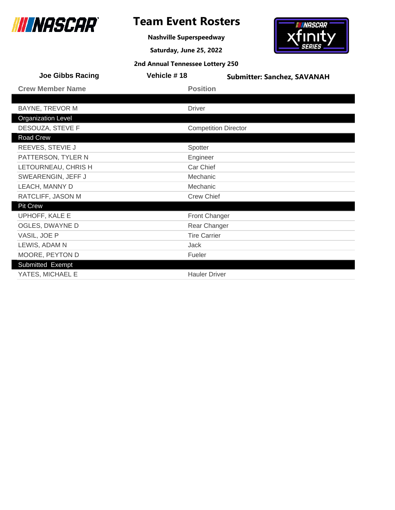

# **Team Event Rosters**

**Nashville Superspeedway**

**Saturday, June 25, 2022**

# **IN NASCAR**  ${\bf x}$ finity

|  |  | 2nd Annual Tennessee Lottery 250 |  |  |
|--|--|----------------------------------|--|--|
|--|--|----------------------------------|--|--|

| <b>Joe Gibbs Racing</b>   | Vehicle #18                 | <b>Submitter: Sanchez, SAVANAH</b> |
|---------------------------|-----------------------------|------------------------------------|
| <b>Crew Member Name</b>   | <b>Position</b>             |                                    |
|                           |                             |                                    |
| <b>BAYNE, TREVOR M</b>    | <b>Driver</b>               |                                    |
| <b>Organization Level</b> |                             |                                    |
| DESOUZA, STEVE F          | <b>Competition Director</b> |                                    |
| Road Crew                 |                             |                                    |
| REEVES, STEVIE J          | Spotter                     |                                    |
| PATTERSON, TYLER N        | Engineer                    |                                    |
| LETOURNEAU, CHRIS H       | Car Chief                   |                                    |
| SWEARENGIN, JEFF J        | Mechanic                    |                                    |
| LEACH, MANNY D            | Mechanic                    |                                    |
| RATCLIFF, JASON M         | <b>Crew Chief</b>           |                                    |
| <b>Pit Crew</b>           |                             |                                    |
| UPHOFF, KALE E            | <b>Front Changer</b>        |                                    |
| OGLES, DWAYNE D           | Rear Changer                |                                    |
| VASIL, JOE P              | <b>Tire Carrier</b>         |                                    |
| LEWIS, ADAM N             | <b>Jack</b>                 |                                    |
| MOORE, PEYTON D           | Fueler                      |                                    |
| Submitted Exempt          |                             |                                    |
| YATES, MICHAEL E          | <b>Hauler Driver</b>        |                                    |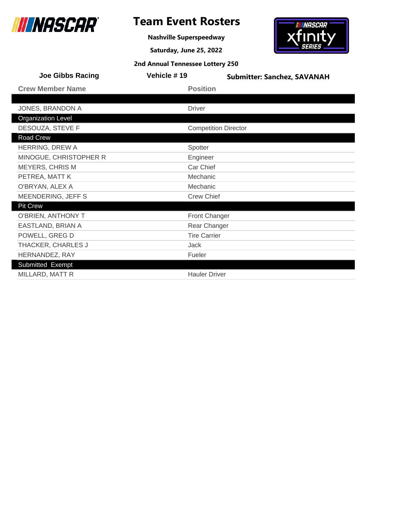

# **Team Event Rosters**

**Nashville Superspeedway**

**Saturday, June 25, 2022**

# **IN NASCAR**  ${\bf x}$ finity

| 2nd Annual Tennessee Lottery 250 |  |  |  |
|----------------------------------|--|--|--|
|----------------------------------|--|--|--|

| <b>Joe Gibbs Racing</b>   | Vehicle #19          | <b>Submitter: Sanchez, SAVANAH</b> |
|---------------------------|----------------------|------------------------------------|
| <b>Crew Member Name</b>   | <b>Position</b>      |                                    |
|                           |                      |                                    |
| JONES, BRANDON A          | <b>Driver</b>        |                                    |
| <b>Organization Level</b> |                      |                                    |
| DESOUZA, STEVE F          |                      | <b>Competition Director</b>        |
| Road Crew                 |                      |                                    |
| HERRING, DREW A           | Spotter              |                                    |
| MINOGUE, CHRISTOPHER R    | Engineer             |                                    |
| <b>MEYERS, CHRIS M</b>    | Car Chief            |                                    |
| PETREA, MATT K            | Mechanic             |                                    |
| O'BRYAN, ALEX A           | Mechanic             |                                    |
| MEENDERING, JEFF S        | <b>Crew Chief</b>    |                                    |
| <b>Pit Crew</b>           |                      |                                    |
| O'BRIEN, ANTHONY T        | <b>Front Changer</b> |                                    |
| EASTLAND, BRIAN A         | Rear Changer         |                                    |
| POWELL, GREG D            | <b>Tire Carrier</b>  |                                    |
| THACKER, CHARLES J        | <b>Jack</b>          |                                    |
| HERNANDEZ, RAY            | Fueler               |                                    |
| Submitted Exempt          |                      |                                    |
| MILLARD, MATT R           | <b>Hauler Driver</b> |                                    |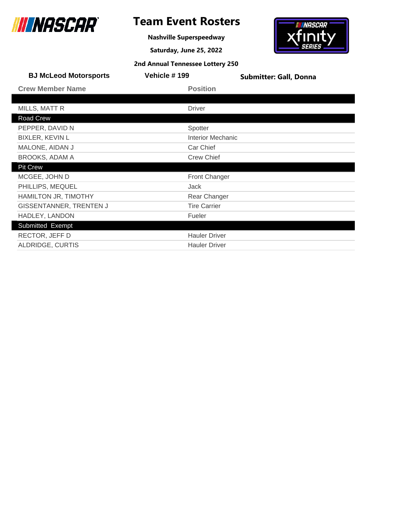

ı

ı

# **Team Event Rosters**

**Nashville Superspeedway**

**Saturday, June 25, 2022**



| <b>BJ McLeod Motorsports</b> | Vehicle #199             | <b>Submitter: Gall, Donna</b> |
|------------------------------|--------------------------|-------------------------------|
| <b>Crew Member Name</b>      | <b>Position</b>          |                               |
|                              |                          |                               |
| MILLS, MATT R                | <b>Driver</b>            |                               |
| Road Crew                    |                          |                               |
| PEPPER, DAVID N              | Spotter                  |                               |
| <b>BIXLER, KEVIN L</b>       | <b>Interior Mechanic</b> |                               |
| MALONE, AIDAN J              | Car Chief                |                               |
| <b>BROOKS, ADAM A</b>        | <b>Crew Chief</b>        |                               |
| <b>Pit Crew</b>              |                          |                               |
| MCGEE, JOHN D                | Front Changer            |                               |
| PHILLIPS, MEQUEL             | Jack                     |                               |
| HAMILTON JR, TIMOTHY         | Rear Changer             |                               |
| GISSENTANNER, TRENTEN J      | <b>Tire Carrier</b>      |                               |
| HADLEY, LANDON               | Fueler                   |                               |
| Submitted Exempt             |                          |                               |
| RECTOR, JEFF D               | <b>Hauler Driver</b>     |                               |
| ALDRIDGE, CURTIS             | <b>Hauler Driver</b>     |                               |
|                              |                          |                               |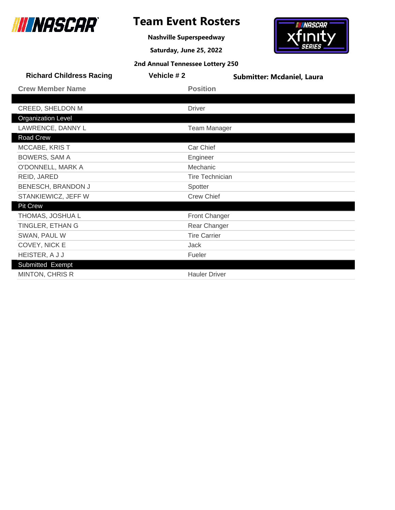

**Nashville Superspeedway**

**Saturday, June 25, 2022**

# **INASCAR** xfinity

| <b>Richard Childress Racing</b> | Vehicle #2 | <b>Submitter: Mcdaniel, Laura</b> |
|---------------------------------|------------|-----------------------------------|
| <b>Crew Member Name</b>         |            | <b>Position</b>                   |
|                                 |            |                                   |
| CREED, SHELDON M                |            | Driver                            |
| <b>Organization Level</b>       |            |                                   |
| LAWRENCE, DANNY L               |            | <b>Team Manager</b>               |
| Road Crew                       |            |                                   |
| MCCABE, KRIST                   |            | Car Chief                         |
| <b>BOWERS, SAM A</b>            |            | Engineer                          |
| O'DONNELL, MARK A               |            | Mechanic                          |
| REID, JARED                     |            | <b>Tire Technician</b>            |
| BENESCH, BRANDON J              |            | Spotter                           |
| STANKIEWICZ, JEFF W             |            | <b>Crew Chief</b>                 |
| <b>Pit Crew</b>                 |            |                                   |
| THOMAS, JOSHUA L                |            | Front Changer                     |
| TINGLER, ETHAN G                |            | Rear Changer                      |
| SWAN, PAUL W                    |            | <b>Tire Carrier</b>               |
| COVEY, NICK E                   |            | Jack                              |
| HEISTER, A J J                  |            | Fueler                            |
| Submitted Exempt                |            |                                   |
| <b>MINTON, CHRIS R</b>          |            | <b>Hauler Driver</b>              |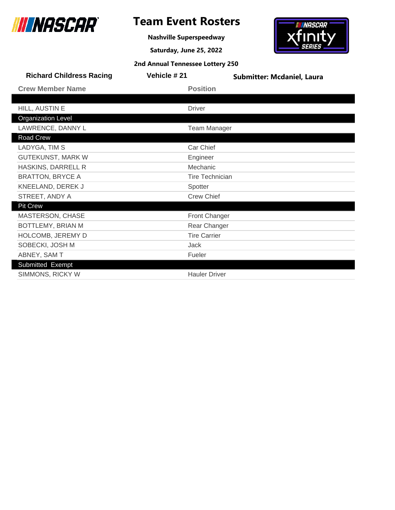

**Nashville Superspeedway**

**Saturday, June 25, 2022**

# **IN NASCAR xfinity**

| 2nd Annual Tennessee Lottery 250 |  |  |  |
|----------------------------------|--|--|--|
|----------------------------------|--|--|--|

| <b>Richard Childress Racing</b> | Vehicle #21            | <b>Submitter: Mcdaniel, Laura</b> |
|---------------------------------|------------------------|-----------------------------------|
| <b>Crew Member Name</b>         | <b>Position</b>        |                                   |
|                                 |                        |                                   |
| HILL, AUSTIN E                  | <b>Driver</b>          |                                   |
| <b>Organization Level</b>       |                        |                                   |
| LAWRENCE, DANNY L               | <b>Team Manager</b>    |                                   |
| Road Crew                       |                        |                                   |
| LADYGA, TIM S                   | Car Chief              |                                   |
| <b>GUTEKUNST, MARK W</b>        | Engineer               |                                   |
| HASKINS, DARRELL R              | Mechanic               |                                   |
| <b>BRATTON, BRYCE A</b>         | <b>Tire Technician</b> |                                   |
| KNEELAND, DEREK J               | Spotter                |                                   |
| STREET, ANDY A                  | <b>Crew Chief</b>      |                                   |
| <b>Pit Crew</b>                 |                        |                                   |
| MASTERSON, CHASE                | <b>Front Changer</b>   |                                   |
| BOTTLEMY, BRIAN M               | Rear Changer           |                                   |
| HOLCOMB, JEREMY D               | <b>Tire Carrier</b>    |                                   |
| SOBECKI, JOSH M                 | <b>Jack</b>            |                                   |
| ABNEY, SAM T                    | Fueler                 |                                   |
| Submitted Exempt                |                        |                                   |
| SIMMONS, RICKY W                | <b>Hauler Driver</b>   |                                   |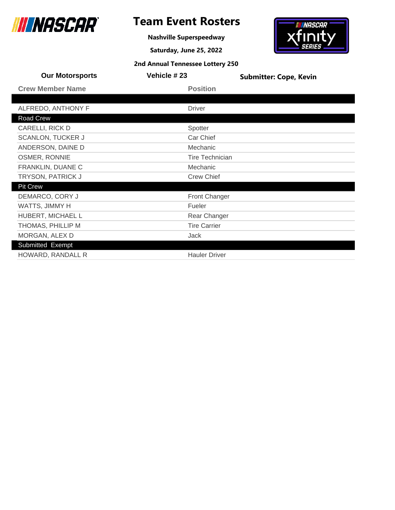

**Nashville Superspeedway**

**Saturday, June 25, 2022**



| <b>Our Motorsports</b>   | Vehicle #23 |                        | <b>Submitter: Cope, Kevin</b> |
|--------------------------|-------------|------------------------|-------------------------------|
| <b>Crew Member Name</b>  |             | <b>Position</b>        |                               |
|                          |             |                        |                               |
| ALFREDO, ANTHONY F       |             | <b>Driver</b>          |                               |
| Road Crew                |             |                        |                               |
| CARELLI, RICK D          |             | Spotter                |                               |
| <b>SCANLON, TUCKER J</b> |             | Car Chief              |                               |
| ANDERSON, DAINE D        |             | Mechanic               |                               |
| OSMER, RONNIE            |             | <b>Tire Technician</b> |                               |
| FRANKLIN, DUANE C        |             | Mechanic               |                               |
| TRYSON, PATRICK J        |             | <b>Crew Chief</b>      |                               |
| <b>Pit Crew</b>          |             |                        |                               |
| DEMARCO, CORY J          |             | Front Changer          |                               |
| WATTS, JIMMY H           |             | Fueler                 |                               |
| HUBERT, MICHAEL L        |             | Rear Changer           |                               |
| THOMAS, PHILLIP M        |             | <b>Tire Carrier</b>    |                               |
| MORGAN, ALEX D           |             | Jack                   |                               |
| Submitted Exempt         |             |                        |                               |
| HOWARD, RANDALL R        |             | <b>Hauler Driver</b>   |                               |
|                          |             |                        |                               |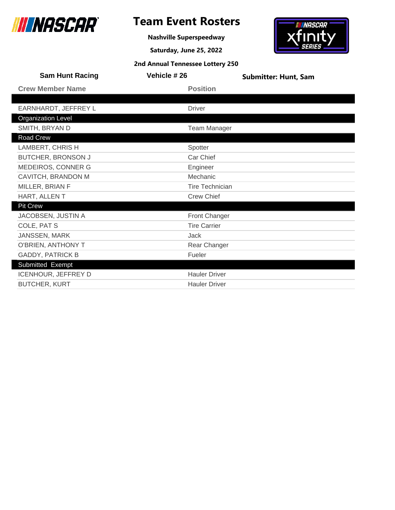

# **Team Event Rosters**

**Nashville Superspeedway**

**Saturday, June 25, 2022**

**2nd Annual Tennessee Lottery 250**

# *INASCAR*  $f_{\rm I\!I\!I\!I}$

| <b>Sam Hunt Racing</b>     | Vehicle # 26           | <b>Submitter: Hunt, Sam</b> |
|----------------------------|------------------------|-----------------------------|
| <b>Crew Member Name</b>    | <b>Position</b>        |                             |
|                            |                        |                             |
| EARNHARDT, JEFFREY L       | <b>Driver</b>          |                             |
| <b>Organization Level</b>  |                        |                             |
| SMITH, BRYAN D             | <b>Team Manager</b>    |                             |
| Road Crew                  |                        |                             |
| LAMBERT, CHRIS H           | Spotter                |                             |
| <b>BUTCHER, BRONSON J</b>  | Car Chief              |                             |
| MEDEIROS, CONNER G         | Engineer               |                             |
| CAVITCH, BRANDON M         | Mechanic               |                             |
| MILLER, BRIAN F            | <b>Tire Technician</b> |                             |
| HART, ALLENT               | <b>Crew Chief</b>      |                             |
| <b>Pit Crew</b>            |                        |                             |
| JACOBSEN, JUSTIN A         | Front Changer          |                             |
| COLE, PAT S                | <b>Tire Carrier</b>    |                             |
| JANSSEN, MARK              | Jack                   |                             |
| O'BRIEN, ANTHONY T         | Rear Changer           |                             |
| <b>GADDY, PATRICK B</b>    | Fueler                 |                             |
| Submitted Exempt           |                        |                             |
| <b>ICENHOUR, JEFFREY D</b> | <b>Hauler Driver</b>   |                             |
| <b>BUTCHER, KURT</b>       | <b>Hauler Driver</b>   |                             |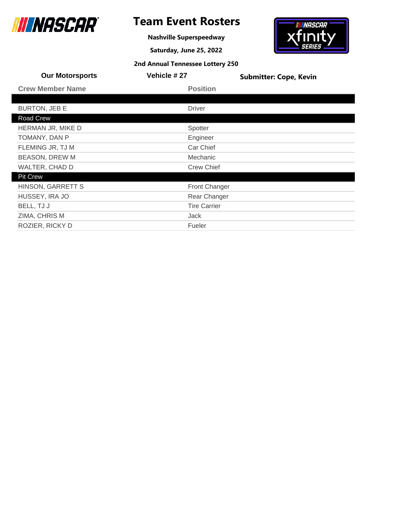

# **Team Event Rosters**

**Nashville Superspeedway**

**Saturday, June 25, 2022**

# *INASCAR*  $f_{\text{IMIS}}$

| <b>Our Motorsports</b>  | <b>Vehicle # 27</b>  | <b>Submitter: Cope, Kevin</b> |
|-------------------------|----------------------|-------------------------------|
| <b>Crew Member Name</b> | <b>Position</b>      |                               |
|                         |                      |                               |
| <b>BURTON, JEB E</b>    | <b>Driver</b>        |                               |
| Road Crew               |                      |                               |
| HERMAN JR, MIKE D       | Spotter              |                               |
| TOMANY, DAN P           | Engineer             |                               |
| FLEMING JR, TJ M        | Car Chief            |                               |
| <b>BEASON, DREW M</b>   | Mechanic             |                               |
| WALTER, CHAD D          | <b>Crew Chief</b>    |                               |
| <b>Pit Crew</b>         |                      |                               |
| HINSON, GARRETT S       | <b>Front Changer</b> |                               |
| HUSSEY, IRA JO          | Rear Changer         |                               |
| BELL, TJ J              | <b>Tire Carrier</b>  |                               |
| ZIMA, CHRIS M           | <b>Jack</b>          |                               |
| ROZIER, RICKY D         | Fueler               |                               |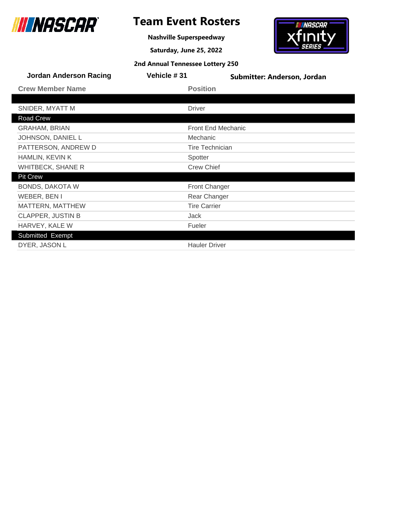

# **Team Event Rosters**

**Nashville Superspeedway**

**Saturday, June 25, 2022**



| <b>Jordan Anderson Racing</b> | Vehicle #31 | Submitter: Anderson, Jordan |
|-------------------------------|-------------|-----------------------------|
| <b>Crew Member Name</b>       |             | <b>Position</b>             |
|                               |             |                             |
| SNIDER, MYATT M               |             | <b>Driver</b>               |
| Road Crew                     |             |                             |
| <b>GRAHAM, BRIAN</b>          |             | <b>Front End Mechanic</b>   |
| JOHNSON, DANIEL L             |             | Mechanic                    |
| PATTERSON, ANDREW D           |             | <b>Tire Technician</b>      |
| <b>HAMLIN, KEVIN K</b>        |             | Spotter                     |
| <b>WHITBECK, SHANE R</b>      |             | <b>Crew Chief</b>           |
| <b>Pit Crew</b>               |             |                             |
| <b>BONDS, DAKOTA W</b>        |             | Front Changer               |
| WEBER, BEN I                  |             | Rear Changer                |
| MATTERN, MATTHEW              |             | <b>Tire Carrier</b>         |
| <b>CLAPPER, JUSTIN B</b>      |             | Jack                        |
| HARVEY, KALE W                |             | Fueler                      |
| Submitted Exempt              |             |                             |
| DYER, JASON L                 |             | <b>Hauler Driver</b>        |
|                               |             |                             |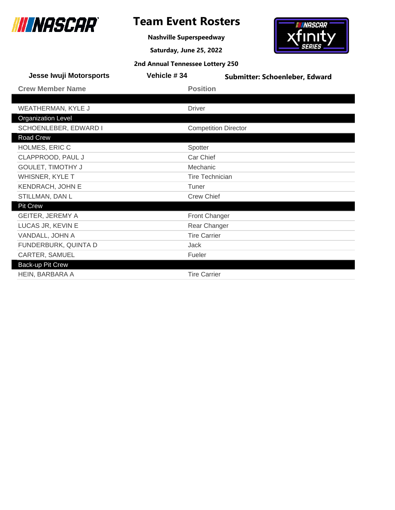

**Nashville Superspeedway**

**Saturday, June 25, 2022**

# <del>- iiiinascar -</del><br>Xfinity

|  |  | 2nd Annual Tennessee Lottery 250 |
|--|--|----------------------------------|
|--|--|----------------------------------|

| <b>Jesse Iwuji Motorsports</b> | Vehicle #34            | Submitter: Schoenleber, Edward |
|--------------------------------|------------------------|--------------------------------|
| <b>Crew Member Name</b>        | <b>Position</b>        |                                |
|                                |                        |                                |
| WEATHERMAN, KYLE J             | <b>Driver</b>          |                                |
| <b>Organization Level</b>      |                        |                                |
| SCHOENLEBER, EDWARD I          |                        | <b>Competition Director</b>    |
| Road Crew                      |                        |                                |
| HOLMES, ERIC C                 | Spotter                |                                |
| CLAPPROOD, PAUL J              | Car Chief              |                                |
| GOULET, TIMOTHY J              | Mechanic               |                                |
| WHISNER, KYLE T                | <b>Tire Technician</b> |                                |
| <b>KENDRACH, JOHN E</b>        | Tuner                  |                                |
| STILLMAN, DAN L                | <b>Crew Chief</b>      |                                |
| <b>Pit Crew</b>                |                        |                                |
| GEITER, JEREMY A               | <b>Front Changer</b>   |                                |
| LUCAS JR, KEVIN E              | Rear Changer           |                                |
| VANDALL, JOHN A                | <b>Tire Carrier</b>    |                                |
| FUNDERBURK, QUINTA D           | <b>Jack</b>            |                                |
| CARTER, SAMUEL                 | Fueler                 |                                |
| Back-up Pit Crew               |                        |                                |
| HEIN, BARBARA A                | <b>Tire Carrier</b>    |                                |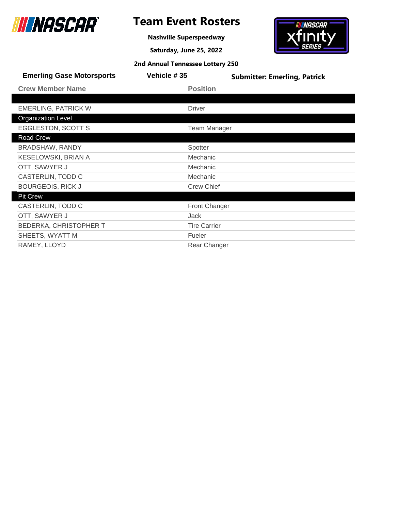

# **Team Event Rosters**

**Nashville Superspeedway**

**Saturday, June 25, 2022**



| <b>Emerling Gase Motorsports</b> | Vehicle #35          | <b>Submitter: Emerling, Patrick</b> |
|----------------------------------|----------------------|-------------------------------------|
| <b>Crew Member Name</b>          | <b>Position</b>      |                                     |
|                                  |                      |                                     |
| <b>EMERLING, PATRICK W</b>       | <b>Driver</b>        |                                     |
| <b>Organization Level</b>        |                      |                                     |
| EGGLESTON, SCOTT S               | <b>Team Manager</b>  |                                     |
| Road Crew                        |                      |                                     |
| <b>BRADSHAW, RANDY</b>           | Spotter              |                                     |
| <b>KESELOWSKI, BRIAN A</b>       | Mechanic             |                                     |
| OTT, SAWYER J                    | Mechanic             |                                     |
| CASTERLIN, TODD C                | Mechanic             |                                     |
| <b>BOURGEOIS, RICK J</b>         | <b>Crew Chief</b>    |                                     |
| <b>Pit Crew</b>                  |                      |                                     |
| CASTERLIN, TODD C                | <b>Front Changer</b> |                                     |
| OTT, SAWYER J                    | Jack                 |                                     |
| <b>BEDERKA, CHRISTOPHER T</b>    | <b>Tire Carrier</b>  |                                     |
| SHEETS, WYATT M                  | Fueler               |                                     |
| RAMEY, LLOYD                     | Rear Changer         |                                     |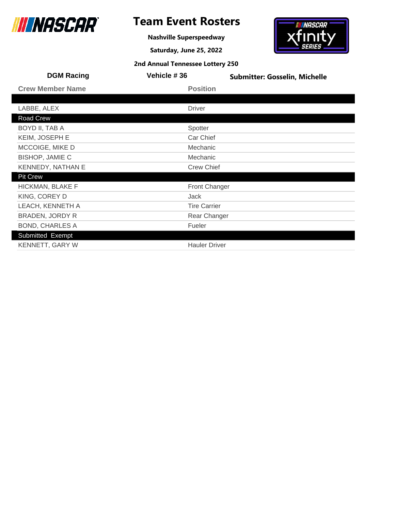

**Nashville Superspeedway**

**Saturday, June 25, 2022**

# *INASCAR* finity

| <b>DGM Racing</b>       | Vehicle #36          | <b>Submitter: Gosselin, Michelle</b> |
|-------------------------|----------------------|--------------------------------------|
| <b>Crew Member Name</b> | <b>Position</b>      |                                      |
|                         |                      |                                      |
| LABBE, ALEX             | <b>Driver</b>        |                                      |
| Road Crew               |                      |                                      |
| BOYD II, TAB A          | Spotter              |                                      |
| <b>KEIM, JOSEPH E</b>   | Car Chief            |                                      |
| MCCOIGE, MIKE D         | Mechanic             |                                      |
| <b>BISHOP, JAMIE C</b>  | Mechanic             |                                      |
| KENNEDY, NATHAN E       | <b>Crew Chief</b>    |                                      |
| <b>Pit Crew</b>         |                      |                                      |
| HICKMAN, BLAKE F        | <b>Front Changer</b> |                                      |
| KING, COREY D           | Jack                 |                                      |
| LEACH, KENNETH A        | <b>Tire Carrier</b>  |                                      |
| <b>BRADEN, JORDY R</b>  | Rear Changer         |                                      |
| <b>BOND, CHARLES A</b>  | Fueler               |                                      |
| Submitted Exempt        |                      |                                      |
| KENNETT, GARY W         | <b>Hauler Driver</b> |                                      |
|                         |                      |                                      |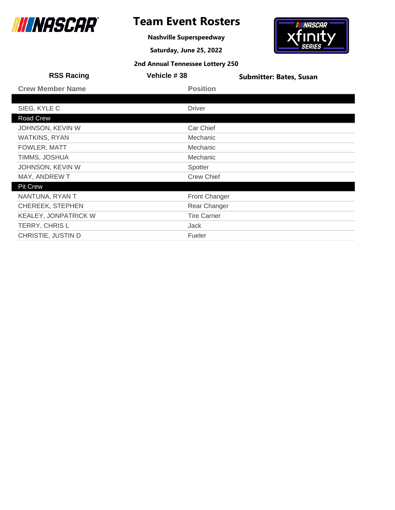

# **Team Event Rosters**

**Nashville Superspeedway**

**Saturday, June 25, 2022**

# *INASCAR* finit

| <b>RSS Racing</b>       | Vehicle #38          | <b>Submitter: Bates, Susan</b> |
|-------------------------|----------------------|--------------------------------|
| <b>Crew Member Name</b> | <b>Position</b>      |                                |
|                         |                      |                                |
| SIEG, KYLE C            | <b>Driver</b>        |                                |
| Road Crew               |                      |                                |
| JOHNSON, KEVIN W        | Car Chief            |                                |
| <b>WATKINS, RYAN</b>    | Mechanic             |                                |
| FOWLER, MATT            | Mechanic             |                                |
| TIMMS, JOSHUA           | Mechanic             |                                |
| JOHNSON, KEVIN W        | Spotter              |                                |
| MAY, ANDREW T           | <b>Crew Chief</b>    |                                |
| <b>Pit Crew</b>         |                      |                                |
| NANTUNA, RYAN T         | <b>Front Changer</b> |                                |
| <b>CHEREEK, STEPHEN</b> | Rear Changer         |                                |
| KEALEY, JONPATRICK W    | <b>Tire Carrier</b>  |                                |
| TERRY, CHRIS L          | Jack                 |                                |
| CHRISTIE, JUSTIN D      | Fueler               |                                |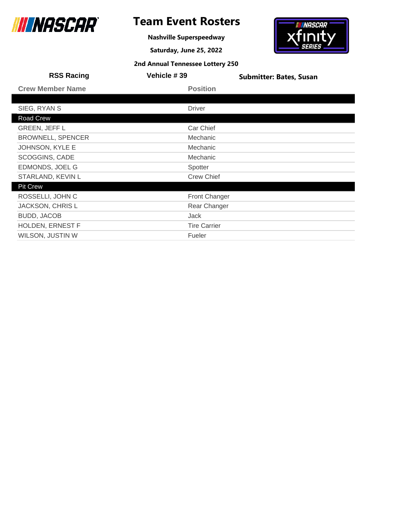

# **Team Event Rosters**

**Nashville Superspeedway**

**Saturday, June 25, 2022**

# *INASCAR* finit

| <b>RSS Racing</b>        | Vehicle #39          | <b>Submitter: Bates, Susan</b> |
|--------------------------|----------------------|--------------------------------|
| <b>Crew Member Name</b>  | <b>Position</b>      |                                |
|                          |                      |                                |
| SIEG, RYAN S             | <b>Driver</b>        |                                |
| Road Crew                |                      |                                |
| <b>GREEN, JEFF L</b>     | Car Chief            |                                |
| <b>BROWNELL, SPENCER</b> | Mechanic             |                                |
| <b>JOHNSON, KYLE E</b>   | Mechanic             |                                |
| SCOGGINS, CADE           | Mechanic             |                                |
| EDMONDS, JOEL G          | Spotter              |                                |
| STARLAND, KEVIN L        | <b>Crew Chief</b>    |                                |
| <b>Pit Crew</b>          |                      |                                |
| ROSSELLI, JOHN C         | <b>Front Changer</b> |                                |
| <b>JACKSON, CHRIS L</b>  | Rear Changer         |                                |
| <b>BUDD, JACOB</b>       | Jack                 |                                |
| <b>HOLDEN, ERNEST F</b>  | <b>Tire Carrier</b>  |                                |
| WILSON, JUSTIN W         | Fueler               |                                |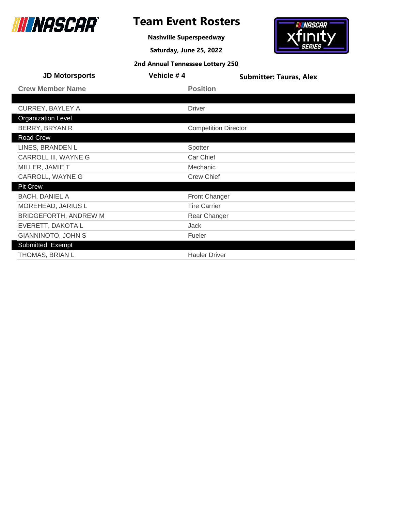

# **Team Event Rosters**

**Nashville Superspeedway**

**Saturday, June 25, 2022**

**2nd Annual Tennessee Lottery 250**

# *INASCAR*  $\int_{SERIES}$

| <b>JD Motorsports</b>     | Vehicle #4                  | <b>Submitter: Tauras, Alex</b> |
|---------------------------|-----------------------------|--------------------------------|
| <b>Crew Member Name</b>   | <b>Position</b>             |                                |
|                           |                             |                                |
| <b>CURREY, BAYLEY A</b>   | <b>Driver</b>               |                                |
| <b>Organization Level</b> |                             |                                |
| BERRY, BRYAN R            | <b>Competition Director</b> |                                |
| Road Crew                 |                             |                                |
| LINES, BRANDEN L          | Spotter                     |                                |
| CARROLL III, WAYNE G      | Car Chief                   |                                |
| MILLER, JAMIE T           | Mechanic                    |                                |
| CARROLL, WAYNE G          | <b>Crew Chief</b>           |                                |
| <b>Pit Crew</b>           |                             |                                |
| <b>BACH, DANIEL A</b>     | <b>Front Changer</b>        |                                |
| MOREHEAD, JARIUS L        | <b>Tire Carrier</b>         |                                |
| BRIDGEFORTH, ANDREW M     | Rear Changer                |                                |
| EVERETT, DAKOTA L         | Jack                        |                                |
| GIANNINOTO, JOHN S        | Fueler                      |                                |
| Submitted Exempt          |                             |                                |
| THOMAS, BRIAN L           | <b>Hauler Driver</b>        |                                |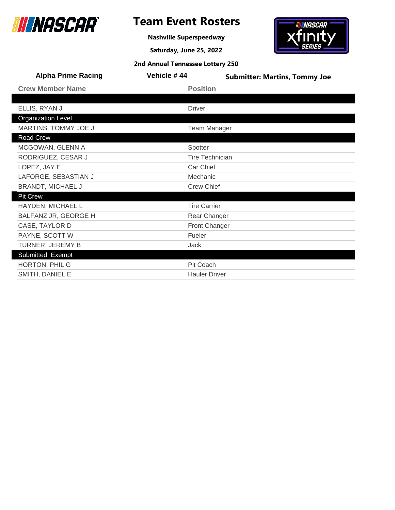

# **Team Event Rosters**

**Nashville Superspeedway**

**Saturday, June 25, 2022**

# finity

*INASCAR* 

| <b>Alpha Prime Racing</b> | Vehicle #44            | <b>Submitter: Martins, Tommy Joe</b> |
|---------------------------|------------------------|--------------------------------------|
| <b>Crew Member Name</b>   | <b>Position</b>        |                                      |
|                           |                        |                                      |
| ELLIS, RYAN J             | <b>Driver</b>          |                                      |
| <b>Organization Level</b> |                        |                                      |
| MARTINS, TOMMY JOE J      | <b>Team Manager</b>    |                                      |
| Road Crew                 |                        |                                      |
| MCGOWAN, GLENN A          | Spotter                |                                      |
| RODRIGUEZ, CESAR J        | <b>Tire Technician</b> |                                      |
| LOPEZ, JAY E              | Car Chief              |                                      |
| LAFORGE, SEBASTIAN J      | Mechanic               |                                      |
| <b>BRANDT, MICHAEL J</b>  | <b>Crew Chief</b>      |                                      |
| <b>Pit Crew</b>           |                        |                                      |
| HAYDEN, MICHAEL L         | <b>Tire Carrier</b>    |                                      |
| BALFANZ JR, GEORGE H      | Rear Changer           |                                      |
| CASE, TAYLOR D            | Front Changer          |                                      |
| PAYNE, SCOTT W            | Fueler                 |                                      |
| TURNER, JEREMY B          | Jack                   |                                      |
| Submitted Exempt          |                        |                                      |
| HORTON, PHIL G            | Pit Coach              |                                      |
| SMITH, DANIEL E           | <b>Hauler Driver</b>   |                                      |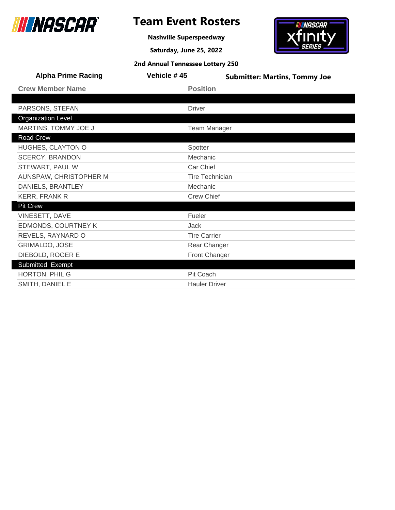

**Nashville Superspeedway**

**Saturday, June 25, 2022**

# **INASCAR** xfinity

| <b>Alpha Prime Racing</b> | Vehicle #45            | <b>Submitter: Martins, Tommy Joe</b> |
|---------------------------|------------------------|--------------------------------------|
| <b>Crew Member Name</b>   | <b>Position</b>        |                                      |
|                           |                        |                                      |
| PARSONS, STEFAN           | <b>Driver</b>          |                                      |
| <b>Organization Level</b> |                        |                                      |
| MARTINS, TOMMY JOE J      | <b>Team Manager</b>    |                                      |
| Road Crew                 |                        |                                      |
| HUGHES, CLAYTON O         | Spotter                |                                      |
| <b>SCERCY, BRANDON</b>    | Mechanic               |                                      |
| STEWART, PAUL W           | Car Chief              |                                      |
| AUNSPAW, CHRISTOPHER M    | <b>Tire Technician</b> |                                      |
| DANIELS, BRANTLEY         | Mechanic               |                                      |
| <b>KERR, FRANK R</b>      | <b>Crew Chief</b>      |                                      |
| <b>Pit Crew</b>           |                        |                                      |
| VINESETT, DAVE            | Fueler                 |                                      |
| EDMONDS, COURTNEY K       | Jack                   |                                      |
| REVELS, RAYNARD O         | <b>Tire Carrier</b>    |                                      |
| GRIMALDO, JOSE            | Rear Changer           |                                      |
| DIEBOLD, ROGER E          | <b>Front Changer</b>   |                                      |
| Submitted Exempt          |                        |                                      |
| HORTON, PHIL G            | <b>Pit Coach</b>       |                                      |
| SMITH, DANIEL E           | <b>Hauler Driver</b>   |                                      |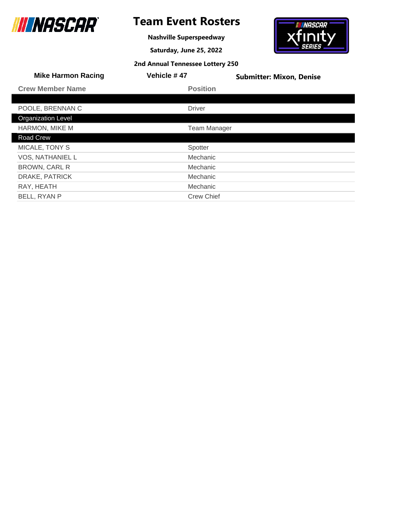

ı

# **Team Event Rosters**

**Nashville Superspeedway**

**Saturday, June 25, 2022**

# *INASCAR* finit

| <b>Mike Harmon Racing</b> | Vehicle #47         | <b>Submitter: Mixon, Denise</b> |
|---------------------------|---------------------|---------------------------------|
| <b>Crew Member Name</b>   | <b>Position</b>     |                                 |
|                           |                     |                                 |
| POOLE, BRENNAN C          | <b>Driver</b>       |                                 |
| <b>Organization Level</b> |                     |                                 |
| HARMON, MIKE M            | <b>Team Manager</b> |                                 |
| Road Crew                 |                     |                                 |
| MICALE, TONY S            | Spotter             |                                 |
| <b>VOS, NATHANIEL L</b>   | <b>Mechanic</b>     |                                 |
| <b>BROWN, CARL R</b>      | <b>Mechanic</b>     |                                 |
| DRAKE, PATRICK            | Mechanic            |                                 |
| RAY, HEATH                | Mechanic            |                                 |
| BELL, RYAN P              | <b>Crew Chief</b>   |                                 |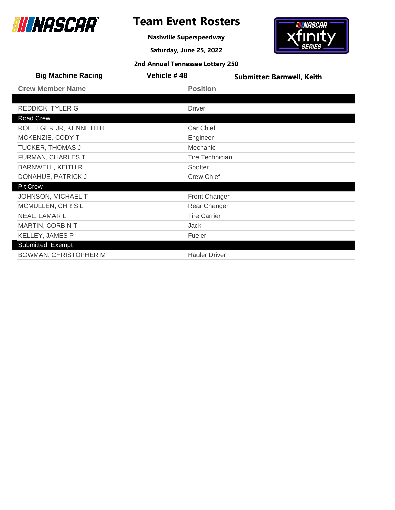

**Nashville Superspeedway**

**Saturday, June 25, 2022**

# **IN NASCAR**  $x$ finity

|  |  | 2nd Annual Tennessee Lottery 250 |
|--|--|----------------------------------|
|--|--|----------------------------------|

| <b>Big Machine Racing</b>    | Vehicle #48            | <b>Submitter: Barnwell, Keith</b> |
|------------------------------|------------------------|-----------------------------------|
| <b>Crew Member Name</b>      | <b>Position</b>        |                                   |
|                              |                        |                                   |
| <b>REDDICK, TYLER G</b>      | <b>Driver</b>          |                                   |
| Road Crew                    |                        |                                   |
| ROETTGER JR, KENNETH H       | Car Chief              |                                   |
| MCKENZIE, CODY T             | Engineer               |                                   |
| <b>TUCKER, THOMAS J</b>      | Mechanic               |                                   |
| <b>FURMAN, CHARLES T</b>     | <b>Tire Technician</b> |                                   |
| <b>BARNWELL, KEITH R</b>     | Spotter                |                                   |
| DONAHUE, PATRICK J           | <b>Crew Chief</b>      |                                   |
| <b>Pit Crew</b>              |                        |                                   |
| JOHNSON, MICHAEL T           | <b>Front Changer</b>   |                                   |
| MCMULLEN, CHRIS L            | Rear Changer           |                                   |
| NEAL, LAMAR L                | <b>Tire Carrier</b>    |                                   |
| <b>MARTIN, CORBIN T</b>      | Jack                   |                                   |
| <b>KELLEY, JAMES P</b>       | Fueler                 |                                   |
| Submitted Exempt             |                        |                                   |
| <b>BOWMAN, CHRISTOPHER M</b> | <b>Hauler Driver</b>   |                                   |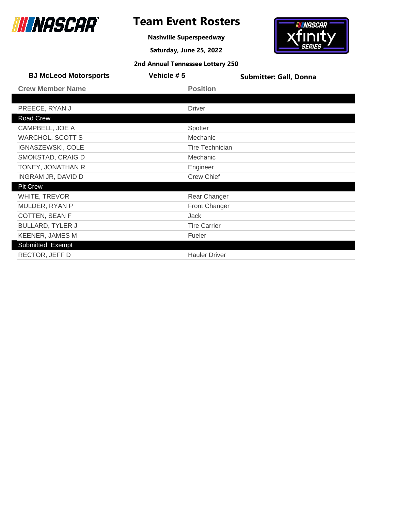

# **Team Event Rosters**

**Nashville Superspeedway**

**Saturday, June 25, 2022**



| <b>BJ McLeod Motorsports</b> | Vehicle #5 | <b>Submitter: Gall, Donna</b> |
|------------------------------|------------|-------------------------------|
| <b>Crew Member Name</b>      |            | <b>Position</b>               |
|                              |            |                               |
| PREECE, RYAN J               |            | <b>Driver</b>                 |
| Road Crew                    |            |                               |
| CAMPBELL, JOE A              |            | Spotter                       |
| <b>WARCHOL, SCOTT S</b>      |            | Mechanic                      |
| <b>IGNASZEWSKI, COLE</b>     |            | <b>Tire Technician</b>        |
| SMOKSTAD, CRAIG D            |            | Mechanic                      |
| TONEY, JONATHAN R            |            | Engineer                      |
| INGRAM JR, DAVID D           |            | <b>Crew Chief</b>             |
| <b>Pit Crew</b>              |            |                               |
| WHITE, TREVOR                |            | Rear Changer                  |
| MULDER, RYAN P               |            | <b>Front Changer</b>          |
| COTTEN, SEAN F               |            | <b>Jack</b>                   |
| <b>BULLARD, TYLER J</b>      |            | <b>Tire Carrier</b>           |
| <b>KEENER, JAMES M</b>       |            | Fueler                        |
| Submitted Exempt             |            |                               |
| RECTOR, JEFF D               |            | <b>Hauler Driver</b>          |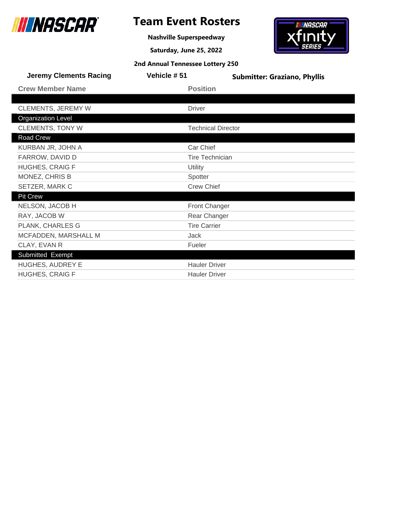

**Nashville Superspeedway**

**Saturday, June 25, 2022**

# **IN NASCAR** Xfinit

|  | 2nd Annual Tennessee Lottery 250 |  |
|--|----------------------------------|--|
|  |                                  |  |

| <b>Jeremy Clements Racing</b> | Vehicle #51         | <b>Submitter: Graziano, Phyllis</b> |
|-------------------------------|---------------------|-------------------------------------|
| <b>Crew Member Name</b>       | <b>Position</b>     |                                     |
|                               |                     |                                     |
| <b>CLEMENTS, JEREMY W</b>     | <b>Driver</b>       |                                     |
| <b>Organization Level</b>     |                     |                                     |
| <b>CLEMENTS, TONY W</b>       |                     | <b>Technical Director</b>           |
| Road Crew                     |                     |                                     |
| KURBAN JR, JOHN A             | Car Chief           |                                     |
| FARROW, DAVID D               |                     | <b>Tire Technician</b>              |
| <b>HUGHES, CRAIG F</b>        | Utility             |                                     |
| MONEZ, CHRIS B                | Spotter             |                                     |
| SETZER, MARK C                | <b>Crew Chief</b>   |                                     |
| <b>Pit Crew</b>               |                     |                                     |
| NELSON, JACOB H               |                     | <b>Front Changer</b>                |
| RAY, JACOB W                  |                     | Rear Changer                        |
| PLANK, CHARLES G              | <b>Tire Carrier</b> |                                     |
| MCFADDEN, MARSHALL M          | Jack                |                                     |
| CLAY, EVAN R                  | Fueler              |                                     |
| Submitted Exempt              |                     |                                     |
| HUGHES, AUDREY E              |                     | <b>Hauler Driver</b>                |
| <b>HUGHES, CRAIG F</b>        |                     | <b>Hauler Driver</b>                |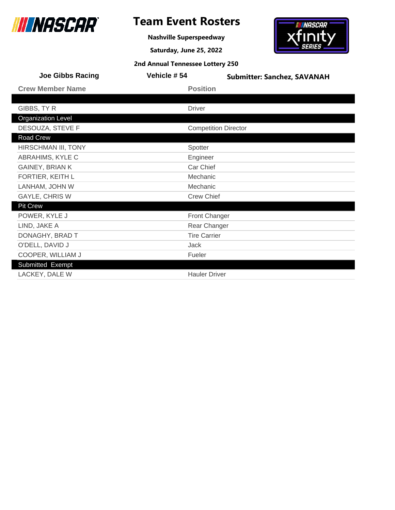

# **Team Event Rosters**

**Nashville Superspeedway**

**Saturday, June 25, 2022**

# **IN NASCAR**  ${\bf x}$ finity

| 2nd Annual Tennessee Lottery 250 |  |  |  |
|----------------------------------|--|--|--|
|----------------------------------|--|--|--|

| <b>Joe Gibbs Racing</b>   | Vehicle #54          | <b>Submitter: Sanchez, SAVANAH</b> |  |
|---------------------------|----------------------|------------------------------------|--|
| <b>Crew Member Name</b>   | <b>Position</b>      |                                    |  |
|                           |                      |                                    |  |
| GIBBS, TY R               | <b>Driver</b>        |                                    |  |
| <b>Organization Level</b> |                      |                                    |  |
| DESOUZA, STEVE F          |                      | <b>Competition Director</b>        |  |
| Road Crew                 |                      |                                    |  |
| HIRSCHMAN III, TONY       | Spotter              |                                    |  |
| ABRAHIMS, KYLE C          | Engineer             |                                    |  |
| GAINEY, BRIAN K           |                      | Car Chief                          |  |
| FORTIER, KEITH L          | Mechanic             |                                    |  |
| LANHAM, JOHN W            | Mechanic             |                                    |  |
| GAYLE, CHRIS W            | <b>Crew Chief</b>    |                                    |  |
| Pit Crew                  |                      |                                    |  |
| POWER, KYLE J             | <b>Front Changer</b> |                                    |  |
| LIND, JAKE A              | Rear Changer         |                                    |  |
| DONAGHY, BRAD T           | <b>Tire Carrier</b>  |                                    |  |
| O'DELL, DAVID J           | <b>Jack</b>          |                                    |  |
| COOPER, WILLIAM J         | Fueler               |                                    |  |
| Submitted Exempt          |                      |                                    |  |
| LACKEY, DALE W            | <b>Hauler Driver</b> |                                    |  |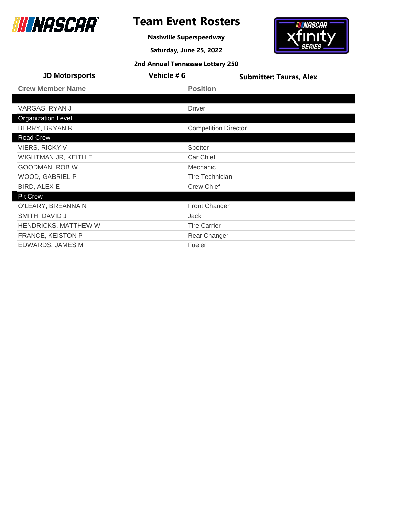

# **Team Event Rosters**

**Nashville Superspeedway**

**Saturday, June 25, 2022**



| Vehicle #6 | <b>Submitter: Tauras, Alex</b> |
|------------|--------------------------------|
|            | <b>Position</b>                |
|            |                                |
|            | <b>Driver</b>                  |
|            |                                |
|            | <b>Competition Director</b>    |
|            |                                |
|            | Spotter                        |
|            | Car Chief                      |
|            | Mechanic                       |
|            | <b>Tire Technician</b>         |
|            | <b>Crew Chief</b>              |
|            |                                |
|            | Front Changer                  |
|            | <b>Jack</b>                    |
|            | <b>Tire Carrier</b>            |
|            | Rear Changer                   |
|            | Fueler                         |
|            |                                |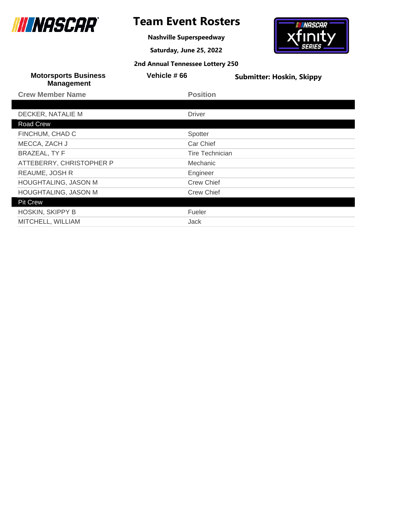

**Nashville Superspeedway**

**Saturday, June 25, 2022**



| <b>Motorsports Business</b><br><b>Management</b> | Vehicle #66            | <b>Submitter: Hoskin, Skippy</b> |
|--------------------------------------------------|------------------------|----------------------------------|
| <b>Crew Member Name</b>                          | <b>Position</b>        |                                  |
|                                                  |                        |                                  |
| DECKER, NATALIE M                                | <b>Driver</b>          |                                  |
| Road Crew                                        |                        |                                  |
| FINCHUM, CHAD C                                  | Spotter                |                                  |
| MECCA, ZACH J                                    | Car Chief              |                                  |
| <b>BRAZEAL, TY F</b>                             | <b>Tire Technician</b> |                                  |
| ATTEBERRY, CHRISTOPHER P                         | <b>Mechanic</b>        |                                  |
| REAUME, JOSH R                                   | Engineer               |                                  |
| HOUGHTALING, JASON M                             | <b>Crew Chief</b>      |                                  |
| <b>HOUGHTALING, JASON M</b>                      | <b>Crew Chief</b>      |                                  |
| <b>Pit Crew</b>                                  |                        |                                  |
| <b>HOSKIN, SKIPPY B</b>                          | Fueler                 |                                  |
| MITCHELL, WILLIAM                                | Jack                   |                                  |
|                                                  |                        |                                  |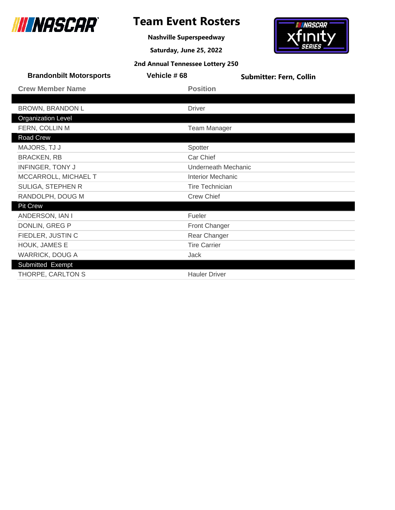

**Nashville Superspeedway**

**Saturday, June 25, 2022**



| <b>Brandonbilt Motorsports</b> | Vehicle #68              | <b>Submitter: Fern, Collin</b> |
|--------------------------------|--------------------------|--------------------------------|
| <b>Crew Member Name</b>        | <b>Position</b>          |                                |
|                                |                          |                                |
| <b>BROWN, BRANDON L</b>        | <b>Driver</b>            |                                |
| <b>Organization Level</b>      |                          |                                |
| FERN, COLLIN M                 |                          | <b>Team Manager</b>            |
| <b>Road Crew</b>               |                          |                                |
| MAJORS, TJ J                   | Spotter                  |                                |
| <b>BRACKEN, RB</b>             | Car Chief                |                                |
| <b>INFINGER, TONY J</b>        | Underneath Mechanic      |                                |
| MCCARROLL, MICHAEL T           | <b>Interior Mechanic</b> |                                |
| SULIGA, STEPHEN R              | <b>Tire Technician</b>   |                                |
| RANDOLPH, DOUG M               | <b>Crew Chief</b>        |                                |
| <b>Pit Crew</b>                |                          |                                |
| ANDERSON, IAN I                | Fueler                   |                                |
| DONLIN, GREG P                 | <b>Front Changer</b>     |                                |
| FIEDLER, JUSTIN C              | Rear Changer             |                                |
| HOUK, JAMES E                  | <b>Tire Carrier</b>      |                                |
| <b>WARRICK, DOUG A</b>         | Jack                     |                                |
| Submitted Exempt               |                          |                                |
| THORPE, CARLTON S              | <b>Hauler Driver</b>     |                                |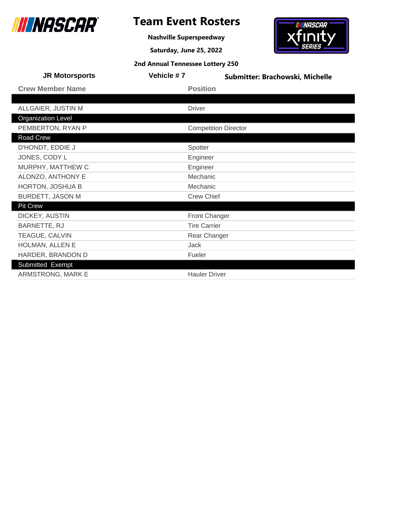

# **Team Event Rosters**

**Nashville Superspeedway**

**Saturday, June 25, 2022**

# **IN NASCAR xfinity**

| 2nd Annual Tennessee Lottery 250 |  |  |  |
|----------------------------------|--|--|--|
|----------------------------------|--|--|--|

| <b>JR Motorsports</b>     | Vehicle #7 | Submitter: Brachowski, Michelle |  |
|---------------------------|------------|---------------------------------|--|
| <b>Crew Member Name</b>   |            | <b>Position</b>                 |  |
|                           |            |                                 |  |
| ALLGAIER, JUSTIN M        |            | <b>Driver</b>                   |  |
| <b>Organization Level</b> |            |                                 |  |
| PEMBERTON, RYAN P         |            | <b>Competition Director</b>     |  |
| Road Crew                 |            |                                 |  |
| D'HONDT, EDDIE J          |            | Spotter                         |  |
| JONES, CODY L             |            | Engineer                        |  |
| MURPHY, MATTHEW C         |            | Engineer                        |  |
| ALONZO, ANTHONY E         |            | Mechanic                        |  |
| HORTON, JOSHUA B          |            | Mechanic                        |  |
| <b>BURDETT, JASON M</b>   |            | <b>Crew Chief</b>               |  |
| <b>Pit Crew</b>           |            |                                 |  |
| DICKEY, AUSTIN            |            | <b>Front Changer</b>            |  |
| BARNETTE, RJ              |            | <b>Tire Carrier</b>             |  |
| TEAGUE, CALVIN            |            | Rear Changer                    |  |
| HOLMAN, ALLEN E           |            | <b>Jack</b>                     |  |
| HARDER, BRANDON D         |            | Fueler                          |  |
| Submitted Exempt          |            |                                 |  |
| ARMSTRONG, MARK E         |            | <b>Hauler Driver</b>            |  |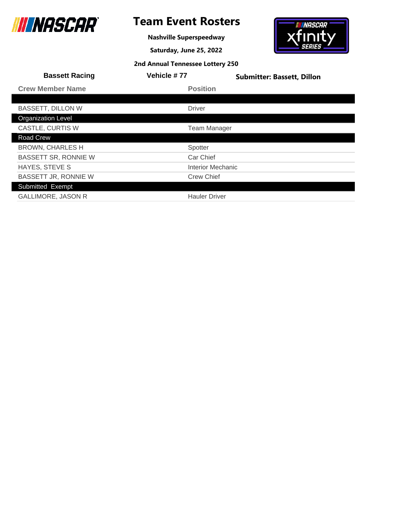

**Nashville Superspeedway**

**Saturday, June 25, 2022**

# **IN NASCAR xfinity**

|  |  | 2nd Annual Tennessee Lottery 250 |
|--|--|----------------------------------|
|--|--|----------------------------------|

| <b>Bassett Racing</b>       | Vehicle #77              | <b>Submitter: Bassett, Dillon</b> |
|-----------------------------|--------------------------|-----------------------------------|
| <b>Crew Member Name</b>     | <b>Position</b>          |                                   |
|                             |                          |                                   |
| <b>BASSETT, DILLON W</b>    | <b>Driver</b>            |                                   |
| <b>Organization Level</b>   |                          |                                   |
| CASTLE, CURTIS W            | <b>Team Manager</b>      |                                   |
| <b>Road Crew</b>            |                          |                                   |
| <b>BROWN, CHARLES H</b>     | Spotter                  |                                   |
| <b>BASSETT SR, RONNIE W</b> | Car Chief                |                                   |
| <b>HAYES, STEVE S</b>       | <b>Interior Mechanic</b> |                                   |
| BASSETT JR, RONNIE W        | <b>Crew Chief</b>        |                                   |
| Submitted Exempt            |                          |                                   |
| <b>GALLIMORE, JASON R</b>   | <b>Hauler Driver</b>     |                                   |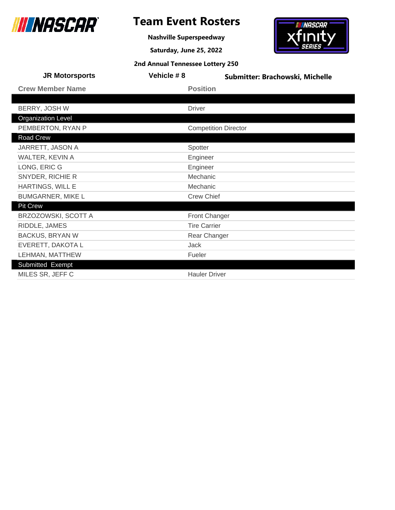

# **Team Event Rosters**

**Nashville Superspeedway**

**Saturday, June 25, 2022**

# **IN NASCAR**  ${\bf x}$ finity

| 2nd Annual Tennessee Lottery 250 |  |  |  |
|----------------------------------|--|--|--|
|----------------------------------|--|--|--|

| <b>JR Motorsports</b>     | Vehicle #8 | Submitter: Brachowski, Michelle |  |
|---------------------------|------------|---------------------------------|--|
| <b>Crew Member Name</b>   |            | <b>Position</b>                 |  |
|                           |            |                                 |  |
| BERRY, JOSH W             |            | <b>Driver</b>                   |  |
| <b>Organization Level</b> |            |                                 |  |
| PEMBERTON, RYAN P         |            | <b>Competition Director</b>     |  |
| Road Crew                 |            |                                 |  |
| JARRETT, JASON A          |            | Spotter                         |  |
| WALTER, KEVIN A           |            | Engineer                        |  |
| LONG, ERIC G              |            | Engineer                        |  |
| SNYDER, RICHIE R          |            | Mechanic                        |  |
| HARTINGS, WILL E          |            | Mechanic                        |  |
| <b>BUMGARNER, MIKE L</b>  |            | <b>Crew Chief</b>               |  |
| <b>Pit Crew</b>           |            |                                 |  |
| BRZOZOWSKI, SCOTT A       |            | <b>Front Changer</b>            |  |
| RIDDLE, JAMES             |            | <b>Tire Carrier</b>             |  |
| <b>BACKUS, BRYAN W</b>    |            | Rear Changer                    |  |
| EVERETT, DAKOTA L         |            | Jack                            |  |
| LEHMAN, MATTHEW           |            | Fueler                          |  |
| Submitted Exempt          |            |                                 |  |
| MILES SR, JEFF C          |            | <b>Hauler Driver</b>            |  |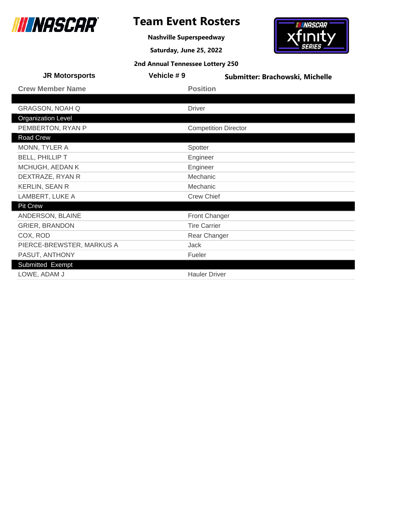

**Nashville Superspeedway**

**Saturday, June 25, 2022**

# <del>- iiiinascar -</del><br>Xfinity

|  |  | 2nd Annual Tennessee Lottery 250 |
|--|--|----------------------------------|
|--|--|----------------------------------|

| <b>JR Motorsports</b>     | Vehicle #9 | Submitter: Brachowski, Michelle |  |
|---------------------------|------------|---------------------------------|--|
| <b>Crew Member Name</b>   |            | <b>Position</b>                 |  |
|                           |            |                                 |  |
| <b>GRAGSON, NOAH Q</b>    |            | <b>Driver</b>                   |  |
| <b>Organization Level</b> |            |                                 |  |
| PEMBERTON, RYAN P         |            | <b>Competition Director</b>     |  |
| Road Crew                 |            |                                 |  |
| MONN, TYLER A             |            | Spotter                         |  |
| <b>BELL, PHILLIP T</b>    |            | Engineer                        |  |
| MCHUGH, AEDAN K           |            | Engineer                        |  |
| DEXTRAZE, RYAN R          |            | Mechanic                        |  |
| <b>KERLIN, SEAN R</b>     |            | Mechanic                        |  |
| LAMBERT, LUKE A           |            | <b>Crew Chief</b>               |  |
| Pit Crew                  |            |                                 |  |
| ANDERSON, BLAINE          |            | <b>Front Changer</b>            |  |
| <b>GRIER, BRANDON</b>     |            | <b>Tire Carrier</b>             |  |
| COX, ROD                  |            | Rear Changer                    |  |
| PIERCE-BREWSTER, MARKUS A |            | Jack                            |  |
| PASUT, ANTHONY            |            | Fueler                          |  |
| Submitted Exempt          |            |                                 |  |
| LOWE, ADAM J              |            | <b>Hauler Driver</b>            |  |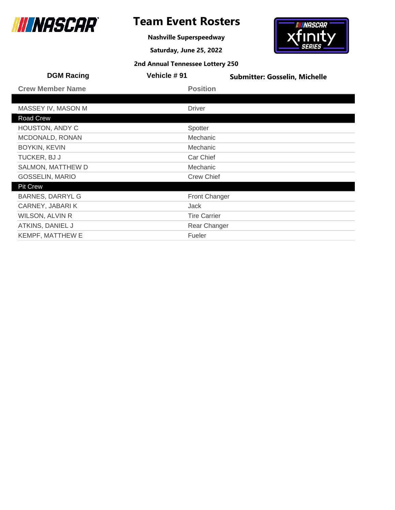

# **Team Event Rosters**

**Nashville Superspeedway**

**Saturday, June 25, 2022**

# *INASCAR* finit

| <b>DGM Racing</b>       | Vehicle #91          | <b>Submitter: Gosselin, Michelle</b> |
|-------------------------|----------------------|--------------------------------------|
| <b>Crew Member Name</b> | <b>Position</b>      |                                      |
|                         |                      |                                      |
| MASSEY IV, MASON M      | <b>Driver</b>        |                                      |
| Road Crew               |                      |                                      |
| <b>HOUSTON, ANDY C</b>  | Spotter              |                                      |
| MCDONALD, RONAN         | Mechanic             |                                      |
| <b>BOYKIN, KEVIN</b>    | Mechanic             |                                      |
| TUCKER, BJ J            | Car Chief            |                                      |
| SALMON, MATTHEW D       | Mechanic             |                                      |
| <b>GOSSELIN, MARIO</b>  | <b>Crew Chief</b>    |                                      |
| <b>Pit Crew</b>         |                      |                                      |
| <b>BARNES, DARRYL G</b> | <b>Front Changer</b> |                                      |
| CARNEY, JABARI K        | <b>Jack</b>          |                                      |
| WILSON, ALVIN R         | <b>Tire Carrier</b>  |                                      |
| ATKINS, DANIEL J        | Rear Changer         |                                      |
| <b>KEMPF, MATTHEW E</b> | Fueler               |                                      |